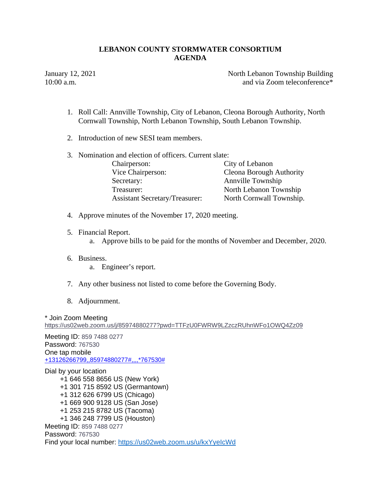January 12, 2021 **North Lebanon Township Building** 10:00 a.m. **and via Zoom teleconference**\*

- 1. Roll Call: Annville Township, City of Lebanon, Cleona Borough Authority, North Cornwall Township, North Lebanon Township, South Lebanon Township.
- 2. Introduction of new SESI team members.
- 3. Nomination and election of officers. Current slate: Chairperson: City of Lebanon Vice Chairperson: Cleona Borough Authority Secretary: Annville Township Treasurer: North Lebanon Township Assistant Secretary/Treasurer: North Cornwall Township.
- 4. Approve minutes of the November 17, 2020 meeting.
- 5. Financial Report.
	- a. Approve bills to be paid for the months of November and December, 2020.
- 6. Business.
	- a. Engineer's report.
- 7. Any other business not listed to come before the Governing Body.
- 8. Adjournment.

\* Join Zoom Meeting https://us02web.zoom.us/j/85974880277?pwd=TTFzU0FWRW9LZzczRUhnWFo1OWQ4Zz09

Meeting ID: 859 7488 0277 Password: 767530 One tap mobile +13126266799,,85974880277#,,,,\*767530#

Dial by your location +1 646 558 8656 US (New York) +1 301 715 8592 US (Germantown) +1 312 626 6799 US (Chicago) +1 669 900 9128 US (San Jose) +1 253 215 8782 US (Tacoma) +1 346 248 7799 US (Houston) Meeting ID: 859 7488 0277 Password: 767530 Find your local number: https://us02web.zoom.us/u/kxYyeIcWd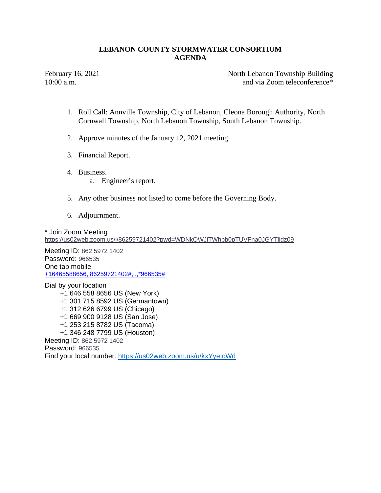February 16, 2021 North Lebanon Township Building 10:00 a.m. **and via Zoom teleconference**\*

- 1. Roll Call: Annville Township, City of Lebanon, Cleona Borough Authority, North Cornwall Township, North Lebanon Township, South Lebanon Township.
- 2. Approve minutes of the January 12, 2021 meeting.
- 3. Financial Report.
- 4. Business.
	- a. Engineer's report.
- 5. Any other business not listed to come before the Governing Body.
- 6. Adjournment.

\* Join Zoom Meeting

https://us02web.zoom.us/j/86259721402?pwd=WDNkQWJiTWhpb0pTUVFna0JGYTlidz09

Meeting ID: 862 5972 1402 Password: 966535 One tap mobile +16465588656,,86259721402#,,,,\*966535#

Dial by your location +1 646 558 8656 US (New York) +1 301 715 8592 US (Germantown) +1 312 626 6799 US (Chicago) +1 669 900 9128 US (San Jose) +1 253 215 8782 US (Tacoma) +1 346 248 7799 US (Houston) Meeting ID: 862 5972 1402 Password: 966535 Find your local number: https://us02web.zoom.us/u/kxYyeIcWd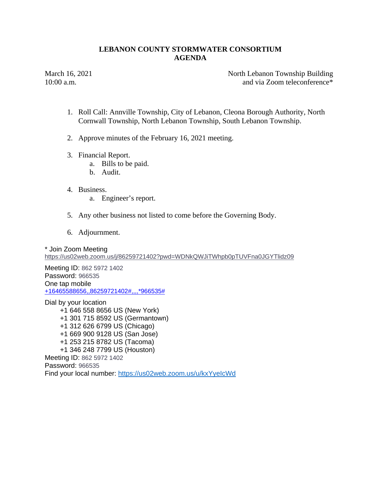March 16, 2021 North Lebanon Township Building 10:00 a.m. **and via Zoom teleconference**\*

- 1. Roll Call: Annville Township, City of Lebanon, Cleona Borough Authority, North Cornwall Township, North Lebanon Township, South Lebanon Township.
- 2. Approve minutes of the February 16, 2021 meeting.
- 3. Financial Report.
	- a. Bills to be paid.
	- b. Audit.
- 4. Business.
	- a. Engineer's report.
- 5. Any other business not listed to come before the Governing Body.
- 6. Adjournment.

\* Join Zoom Meeting https://us02web.zoom.us/j/86259721402?pwd=WDNkQWJiTWhpb0pTUVFna0JGYTlidz09

Meeting ID: 862 5972 1402 Password: 966535 One tap mobile +16465588656,,86259721402#,,,,\*966535#

Dial by your location +1 646 558 8656 US (New York) +1 301 715 8592 US (Germantown) +1 312 626 6799 US (Chicago) +1 669 900 9128 US (San Jose) +1 253 215 8782 US (Tacoma) +1 346 248 7799 US (Houston) Meeting ID: 862 5972 1402 Password: 966535 Find your local number: https://us02web.zoom.us/u/kxYyeIcWd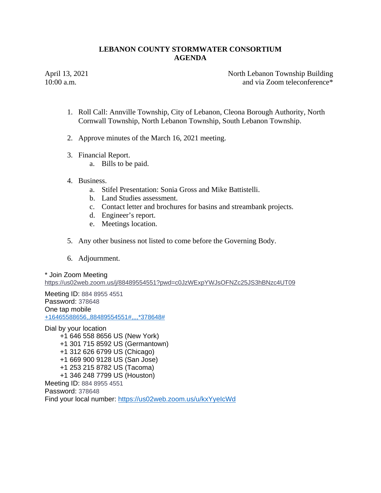April 13, 2021 **North Lebanon Township Building** 10:00 a.m. **and via Zoom teleconference**\*

- 1. Roll Call: Annville Township, City of Lebanon, Cleona Borough Authority, North Cornwall Township, North Lebanon Township, South Lebanon Township.
- 2. Approve minutes of the March 16, 2021 meeting.
- 3. Financial Report.
	- a. Bills to be paid.
- 4. Business.
	- a. Stifel Presentation: Sonia Gross and Mike Battistelli.
	- b. Land Studies assessment.
	- c. Contact letter and brochures for basins and streambank projects.
	- d. Engineer's report.
	- e. Meetings location.
- 5. Any other business not listed to come before the Governing Body.
- 6. Adjournment.

### \* Join Zoom Meeting

https://us02web.zoom.us/j/88489554551?pwd=c0JzWExpYWJsOFNZc25JS3hBNzc4UT09

Meeting ID: 884 8955 4551 Password: 378648 One tap mobile +16465588656,,88489554551#,,,,\*378648#

Dial by your location +1 646 558 8656 US (New York) +1 301 715 8592 US (Germantown) +1 312 626 6799 US (Chicago) +1 669 900 9128 US (San Jose) +1 253 215 8782 US (Tacoma) +1 346 248 7799 US (Houston) Meeting ID: 884 8955 4551 Password: 378648 Find your local number: https://us02web.zoom.us/u/kxYyeIcWd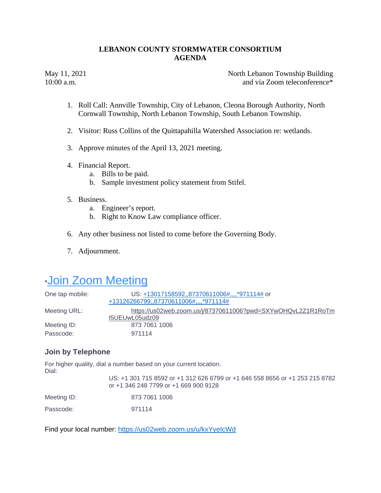May 11, 2021 North Lebanon Township Building 10:00 a.m. **and via Zoom teleconference**\*

- 1. Roll Call: Annville Township, City of Lebanon, Cleona Borough Authority, North Cornwall Township, North Lebanon Township, South Lebanon Township.
- 2. Visitor: Russ Collins of the Quittapahilla Watershed Association re: wetlands.
- 3. Approve minutes of the April 13, 2021 meeting.
- 4. Financial Report.
	- a. Bills to be paid.
	- b. Sample investment policy statement from Stifel.
- 5. Business.
	- a. Engineer's report.
	- b. Right to Know Law compliance officer.
- 6. Any other business not listed to come before the Governing Body.
- 7. Adjournment.

# \*Join Zoom Meeting

| One tap mobile: | US: +13017158592,,87370611006#,,,,*971114# or<br>+13126266799,,87370611006#,,,,*971114# |
|-----------------|-----------------------------------------------------------------------------------------|
| Meeting URL:    | https://us02web.zoom.us/j/87370611006?pwd=SXYwOHQvL2Z1R1RoTm<br>I5UEUwL05udz09          |
| Meeting ID:     | 873 7061 1006                                                                           |
| Passcode:       | 971114                                                                                  |

## **Join by Telephone**

For higher quality, dial a number based on your current location. Dial:

|             | US: +1 301 715 8592 or +1 312 626 6799 or +1 646 558 8656 or +1 253 215 8782<br>or +1 346 248 7799 or +1 669 900 9128 |
|-------------|-----------------------------------------------------------------------------------------------------------------------|
| Meeting ID: | 873 7061 1006                                                                                                         |
| Passcode:   | 971114                                                                                                                |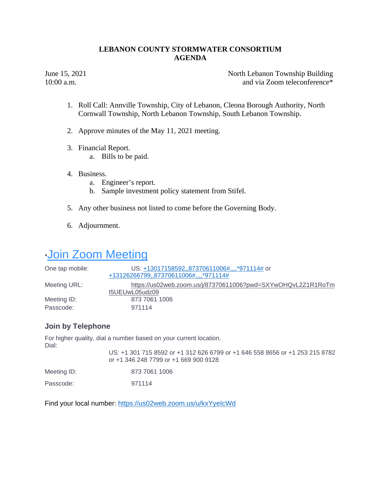June 15, 2021 North Lebanon Township Building 10:00 a.m. **and via Zoom teleconference**\*

- 1. Roll Call: Annville Township, City of Lebanon, Cleona Borough Authority, North Cornwall Township, North Lebanon Township, South Lebanon Township.
- 2. Approve minutes of the May 11, 2021 meeting.
- 3. Financial Report.
	- a. Bills to be paid.
- 4. Business.
	- a. Engineer's report.
	- b. Sample investment policy statement from Stifel.
- 5. Any other business not listed to come before the Governing Body.
- 6. Adjournment.

# **Join Zoom Meeting**

| One tap mobile: | US: +13017158592,,87370611006#,,,,*971114# or<br>+13126266799,,87370611006#,,,,*971114# |
|-----------------|-----------------------------------------------------------------------------------------|
| Meeting URL:    | https://us02web.zoom.us/j/87370611006?pwd=SXYwOHQvL2Z1R1RoTm<br>I5UEUwL05udz09          |
| Meeting ID:     | 873 7061 1006                                                                           |
| Passcode:       | 971114                                                                                  |

## **Join by Telephone**

For higher quality, dial a number based on your current location. Dial:

|             | US: +1 301 715 8592 or +1 312 626 6799 or +1 646 558 8656 or +1 253 215 8782<br>or +1 346 248 7799 or +1 669 900 9128 |
|-------------|-----------------------------------------------------------------------------------------------------------------------|
| Meeting ID: | 873 7061 1006                                                                                                         |
| Passcode:   | 971114                                                                                                                |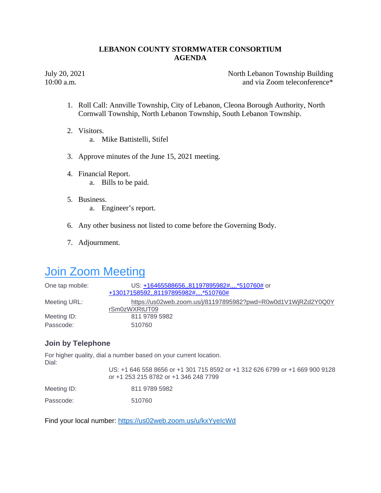July 20, 2021 North Lebanon Township Building 10:00 a.m. **and via Zoom teleconference**\*

- 1. Roll Call: Annville Township, City of Lebanon, Cleona Borough Authority, North Cornwall Township, North Lebanon Township, South Lebanon Township.
- 2. Visitors. a. Mike Battistelli, Stifel
- 3. Approve minutes of the June 15, 2021 meeting.
- 4. Financial Report. a. Bills to be paid.
- 5. Business. a. Engineer's report.
- 6. Any other business not listed to come before the Governing Body.
- 7. Adjournment.

## **Join Zoom Meeting**

| One tap mobile: | US: +16465588656,,81197895982#,,,,*510760# or<br>+13017158592,,81197895982#,,,,*510760# |
|-----------------|-----------------------------------------------------------------------------------------|
| Meeting URL:    | https://us02web.zoom.us/j/81197895982?pwd=R0w0d1V1WjRZd2Y0Q0Y<br>rSm0zWXRtUT09          |
| Meeting ID:     | 811 9789 5982                                                                           |
| Passcode:       | 510760                                                                                  |

## **Join by Telephone**

For higher quality, dial a number based on your current location. Dial:

US: +1 646 558 8656 or +1 301 715 8592 or +1 312 626 6799 or +1 669 900 9128 or +1 253 215 8782 or +1 346 248 7799

| Meeting ID: | 811 9789 5982 |
|-------------|---------------|
|             |               |

Passcode: 510760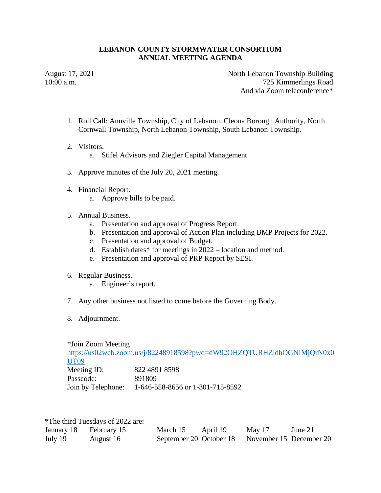### **LEBANON COUNTY STORMWATER CONSORTIUM ANNUAL MEETING AGENDA**

August 17, 2021 North Lebanon Township Building 10:00 a.m. 725 Kimmerlings Road And via Zoom teleconference\*

- 1. Roll Call: Annville Township, City of Lebanon, Cleona Borough Authority, North Cornwall Township, North Lebanon Township, South Lebanon Township.
- 2. Visitors.
	- a. Stifel Advisors and Ziegler Capital Management.
- 3. Approve minutes of the July 20, 2021 meeting.
- 4. Financial Report.
	- a. Approve bills to be paid.
- 5. Annual Business.
	- a. Presentation and approval of Progress Report.
	- b. Presentation and approval of Action Plan including BMP Projects for 2022.
	- c. Presentation and approval of Budget.
	- d. Establish dates\* for meetings in 2022 location and method.
	- e. Presentation and approval of PRP Report by SESI.
- 6. Regular Business.
	- a. Engineer's report.
- 7. Any other business not listed to come before the Governing Body.
- 8. Adjournment.

\*Join Zoom Meeting https://us02web.zoom.us/j/82248918598?pwd=dW92OHZQTURHZldhOGNIMjQrN0x0 UT09 Meeting ID: 822 4891 8598 Passcode: 891809 Join by Telephone: 1-646-558-8656 or 1-301-715-8592

|                        | *The third Tuesdays of 2022 are: |                                                 |          |        |         |
|------------------------|----------------------------------|-------------------------------------------------|----------|--------|---------|
| January 18 February 15 |                                  | March 15                                        | April 19 | May 17 | June 21 |
| July 19                | August 16                        | September 20 October 18 November 15 December 20 |          |        |         |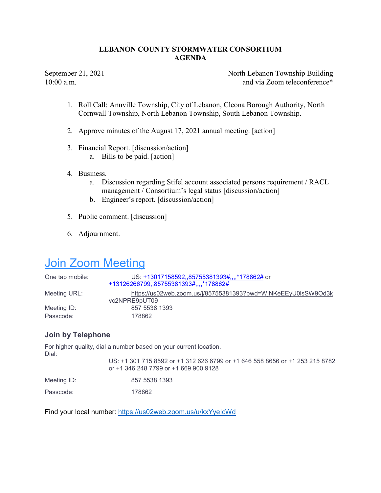September 21, 2021 North Lebanon Township Building 10:00 a.m. **and via Zoom teleconference**\*

- 1. Roll Call: Annville Township, City of Lebanon, Cleona Borough Authority, North Cornwall Township, North Lebanon Township, South Lebanon Township.
- 2. Approve minutes of the August 17, 2021 annual meeting. [action]
- 3. Financial Report. [discussion/action] a. Bills to be paid. [action]
- 4. Business.
	- a. Discussion regarding Stifel account associated persons requirement / RACL management / Consortium's legal status [discussion/action]
	- b. Engineer's report. [discussion/action]
- 5. Public comment. [discussion]
- 6. Adjournment.

# Join Zoom Meeting

| One tap mobile: | US: +13017158592, 85755381393#, 478862# or<br>+13126266799,,85755381393#,,,,*178862# |
|-----------------|--------------------------------------------------------------------------------------|
| Meeting URL:    | https://us02web.zoom.us/j/85755381393?pwd=WjNKeEEyU0lsSW9Od3k<br>vc2NPRE9pUT09       |
| Meeting ID:     | 857 5538 1393                                                                        |
| Passcode:       | 178862                                                                               |

## Join by Telephone

For higher quality, dial a number based on your current location. Dial:

US: +1 301 715 8592 or +1 312 626 6799 or +1 646 558 8656 or +1 253 215 8782 or +1 346 248 7799 or +1 669 900 9128

| Meeting ID: |  | 857 5538 1393 |  |
|-------------|--|---------------|--|
|-------------|--|---------------|--|

Passcode: 178862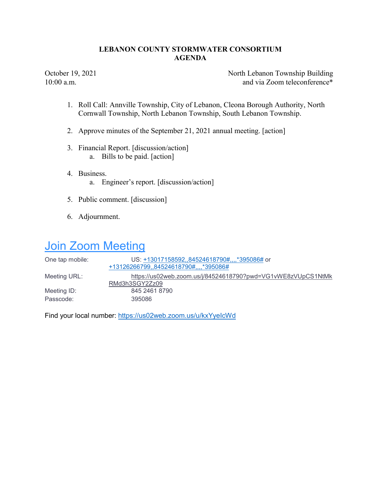October 19, 2021 North Lebanon Township Building 10:00 a.m. **and via Zoom teleconference**\*

- 1. Roll Call: Annville Township, City of Lebanon, Cleona Borough Authority, North Cornwall Township, North Lebanon Township, South Lebanon Township.
- 2. Approve minutes of the September 21, 2021 annual meeting. [action]
- 3. Financial Report. [discussion/action] a. Bills to be paid. [action]
- 4. Business. a. Engineer's report. [discussion/action]
- 5. Public comment. [discussion]
- 6. Adjournment.

## **Join Zoom Meeting**

| One tap mobile: | US: +13017158592,,84524618790#,,*395086# or<br>+13126266799,,84524618790#,,,,*395086# |
|-----------------|---------------------------------------------------------------------------------------|
| Meeting URL:    | https://us02web.zoom.us/j/84524618790?pwd=VG1vWE8zVUpCS1NtMk<br>RMd3h3SGY2Zz09        |
| Meeting ID:     | 845 2461 8790                                                                         |
| Passcode:       | 395086                                                                                |